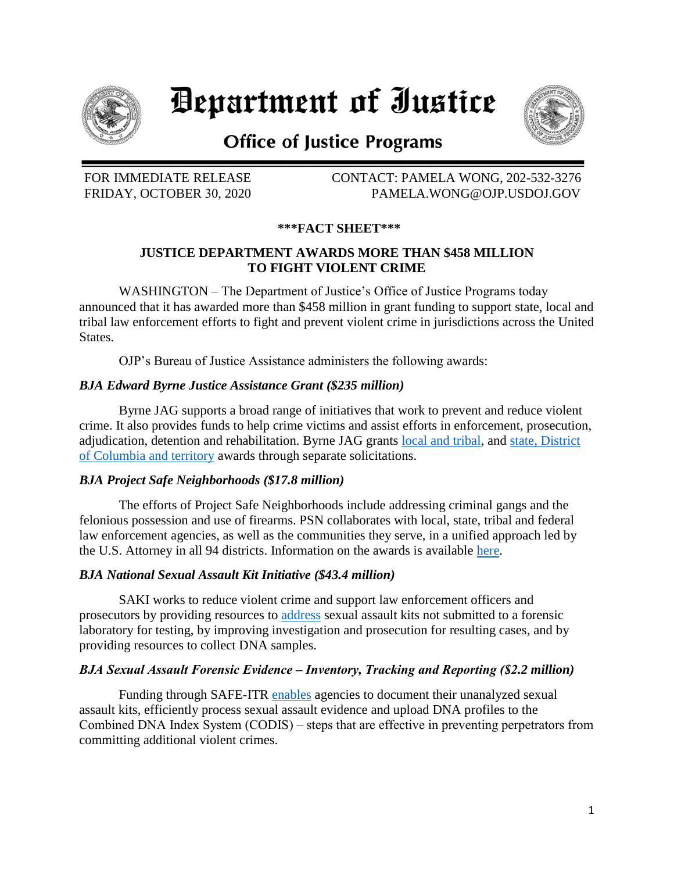

# Department of Iustice



# **Office of Justice Programs**

FOR IMMEDIATE RELEASE CONTACT: PAMELA WONG, 202-532-3276 FRIDAY, OCTOBER 30, 2020 PAMELA.WONG@OJP.USDOJ.GOV

# **\*\*\*FACT SHEET\*\*\***

### **JUSTICE DEPARTMENT AWARDS MORE THAN \$458 MILLION TO FIGHT VIOLENT CRIME**

WASHINGTON – The Department of Justice's Office of Justice Programs today announced that it has awarded more than \$458 million in grant funding to support state, local and tribal law enforcement efforts to fight and prevent violent crime in jurisdictions across the United States.

OJP's Bureau of Justice Assistance administers the following awards:

#### *BJA Edward Byrne Justice Assistance Grant (\$235 million)*

Byrne JAG supports a broad range of initiatives that work to prevent and reduce violent crime. It also provides funds to help crime victims and assist efforts in enforcement, prosecution, adjudication, detention and rehabilitation. Byrne JAG grants [local and tribal,](https://bja.ojp.gov/program/jag/fy-2020-allocations-and-disparate-information) and [state, District](https://bja.ojp.gov/sites/g/files/xyckuh186/files/media/document/FY20-State-JAG-Allocations.pdf)  [of Columbia](https://bja.ojp.gov/sites/g/files/xyckuh186/files/media/document/FY20-State-JAG-Allocations.pdf) and territory awards through separate solicitations.

#### *BJA Project Safe Neighborhoods (\$17.8 million)*

The efforts of Project Safe Neighborhoods include addressing criminal gangs and the felonious possession and use of firearms. PSN collaborates with local, state, tribal and federal law enforcement agencies, as well as the communities they serve, in a unified approach led by the U.S. Attorney in all 94 districts. Information on the awards is available [here.](https://bja.ojp.gov/sites/g/files/xyckuh186/files/media/document/fy20-psn-allocations-judicial-district.pdf)

#### *BJA National Sexual Assault Kit Initiative (\$43.4 million)*

SAKI works to reduce violent crime and support law enforcement officers and prosecutors by providing resources to [address](https://bja.ojp.gov/program/sexual-assault-kit-initiative-saki/overview?Program_ID=117) sexual assault kits not submitted to a forensic laboratory for testing, by improving investigation and prosecution for resulting cases, and by providing resources to collect DNA samples.

#### *BJA Sexual Assault Forensic Evidence ‒ Inventory, Tracking and Reporting (\$2.2 million)*

Funding through SAFE-ITR [enables](https://bja.ojp.gov/program/safe-itr/overview) agencies to document their unanalyzed sexual assault kits, efficiently process sexual assault evidence and upload DNA profiles to the Combined DNA Index System (CODIS) – steps that are effective in preventing perpetrators from committing additional violent crimes.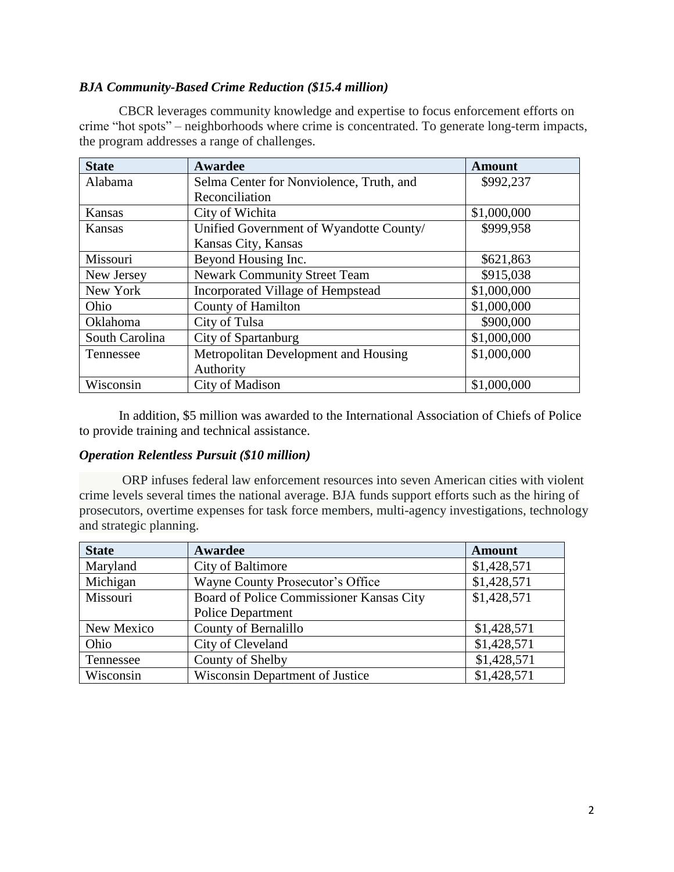#### *BJA Community-Based Crime Reduction (\$15.4 million)*

CBCR leverages community knowledge and expertise to focus enforcement efforts on crime "hot spots" – neighborhoods where crime is concentrated. To generate long-term impacts, the program addresses a range of challenges.

| <b>State</b>   | Awardee                                  | <b>Amount</b> |
|----------------|------------------------------------------|---------------|
| Alabama        | Selma Center for Nonviolence, Truth, and | \$992,237     |
|                | Reconciliation                           |               |
| <b>Kansas</b>  | City of Wichita                          | \$1,000,000   |
| Kansas         | Unified Government of Wyandotte County/  | \$999,958     |
|                | Kansas City, Kansas                      |               |
| Missouri       | Beyond Housing Inc.                      | \$621,863     |
| New Jersey     | Newark Community Street Team             | \$915,038     |
| New York       | Incorporated Village of Hempstead        | \$1,000,000   |
| Ohio           | <b>County of Hamilton</b>                | \$1,000,000   |
| Oklahoma       | City of Tulsa                            | \$900,000     |
| South Carolina | City of Spartanburg                      | \$1,000,000   |
| Tennessee      | Metropolitan Development and Housing     | \$1,000,000   |
|                | Authority                                |               |
| Wisconsin      | City of Madison                          | \$1,000,000   |

In addition, \$5 million was awarded to the International Association of Chiefs of Police to provide training and technical assistance.

#### *Operation Relentless Pursuit (\$10 million)*

ORP infuses federal law enforcement resources into seven American cities with violent crime levels several times the national average. BJA funds support efforts such as the hiring of prosecutors, overtime expenses for task force members, multi-agency investigations, technology and strategic planning.

| <b>State</b> | Awardee                                  | <b>Amount</b> |
|--------------|------------------------------------------|---------------|
| Maryland     | City of Baltimore                        | \$1,428,571   |
| Michigan     | Wayne County Prosecutor's Office         | \$1,428,571   |
| Missouri     | Board of Police Commissioner Kansas City | \$1,428,571   |
|              | <b>Police Department</b>                 |               |
| New Mexico   | County of Bernalillo                     | \$1,428,571   |
| Ohio         | City of Cleveland                        | \$1,428,571   |
| Tennessee    | County of Shelby                         | \$1,428,571   |
| Wisconsin    | <b>Wisconsin Department of Justice</b>   | \$1,428,571   |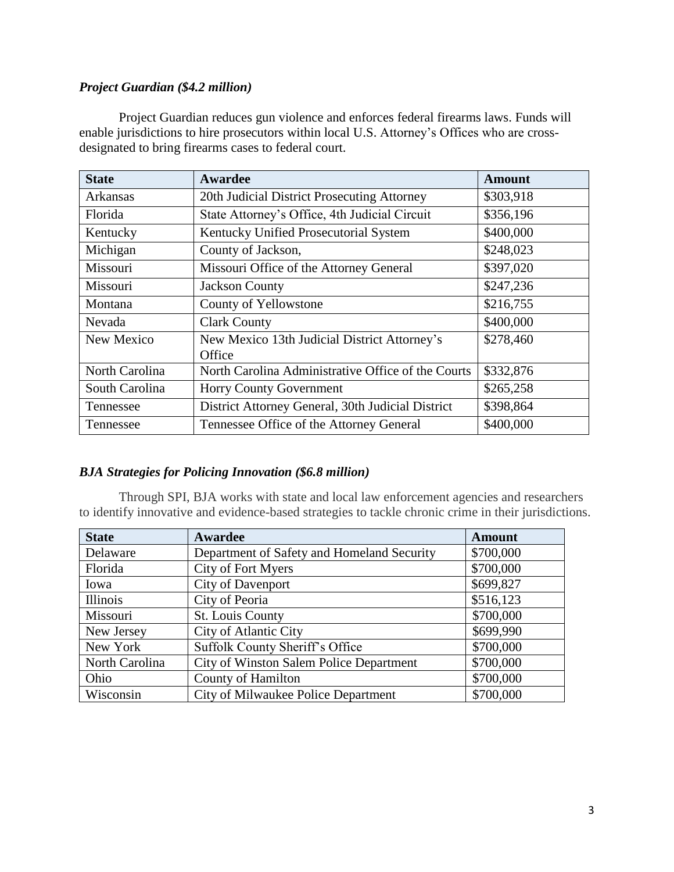# *Project Guardian (\$4.2 million)*

Project Guardian reduces gun violence and enforces federal firearms laws. Funds will enable jurisdictions to hire prosecutors within local U.S. Attorney's Offices who are crossdesignated to bring firearms cases to federal court.

| <b>State</b>   | Awardee                                            | <b>Amount</b> |
|----------------|----------------------------------------------------|---------------|
| Arkansas       | 20th Judicial District Prosecuting Attorney        | \$303,918     |
| Florida        | State Attorney's Office, 4th Judicial Circuit      | \$356,196     |
| Kentucky       | Kentucky Unified Prosecutorial System              | \$400,000     |
| Michigan       | County of Jackson,                                 | \$248,023     |
| Missouri       | Missouri Office of the Attorney General            | \$397,020     |
| Missouri       | <b>Jackson County</b>                              | \$247,236     |
| Montana        | County of Yellowstone                              | \$216,755     |
| Nevada         | <b>Clark County</b>                                | \$400,000     |
| New Mexico     | New Mexico 13th Judicial District Attorney's       | \$278,460     |
|                | Office                                             |               |
| North Carolina | North Carolina Administrative Office of the Courts | \$332,876     |
| South Carolina | <b>Horry County Government</b>                     | \$265,258     |
| Tennessee      | District Attorney General, 30th Judicial District  | \$398,864     |
| Tennessee      | Tennessee Office of the Attorney General           | \$400,000     |

#### *BJA Strategies for Policing Innovation (\$6.8 million)*

Through SPI, BJA works with state and local law enforcement agencies and researchers to identify innovative and evidence-based strategies to tackle chronic crime in their jurisdictions.

| <b>State</b>   | Awardee                                    | <b>Amount</b> |
|----------------|--------------------------------------------|---------------|
| Delaware       | Department of Safety and Homeland Security | \$700,000     |
| Florida        | City of Fort Myers                         | \$700,000     |
| Iowa           | <b>City of Davenport</b>                   | \$699,827     |
| Illinois       | City of Peoria                             | \$516,123     |
| Missouri       | St. Louis County                           | \$700,000     |
| New Jersey     | <b>City of Atlantic City</b>               | \$699,990     |
| New York       | Suffolk County Sheriff's Office            | \$700,000     |
| North Carolina | City of Winston Salem Police Department    | \$700,000     |
| Ohio           | <b>County of Hamilton</b>                  | \$700,000     |
| Wisconsin      | City of Milwaukee Police Department        | \$700,000     |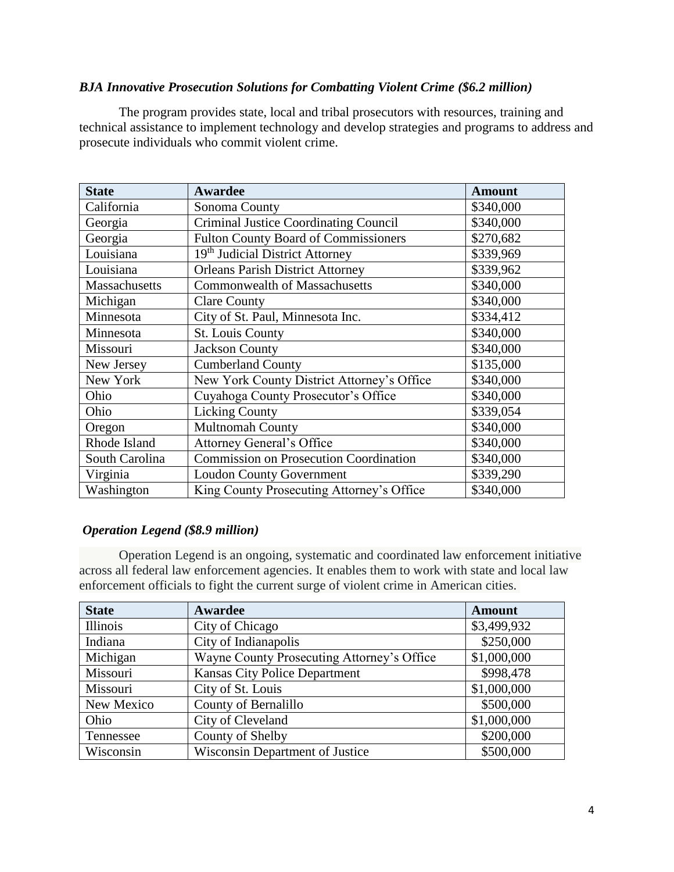#### *BJA Innovative Prosecution Solutions for Combatting Violent Crime (\$6.2 million)*

The program provides state, local and tribal prosecutors with resources, training and technical assistance to implement technology and develop strategies and programs to address and prosecute individuals who commit violent crime.

| <b>State</b>   | Awardee                                       | <b>Amount</b> |
|----------------|-----------------------------------------------|---------------|
| California     | Sonoma County                                 | \$340,000     |
| Georgia        | Criminal Justice Coordinating Council         | \$340,000     |
| Georgia        | <b>Fulton County Board of Commissioners</b>   | \$270,682     |
| Louisiana      | 19 <sup>th</sup> Judicial District Attorney   | \$339,969     |
| Louisiana      | <b>Orleans Parish District Attorney</b>       | \$339,962     |
| Massachusetts  | <b>Commonwealth of Massachusetts</b>          | \$340,000     |
| Michigan       | <b>Clare County</b>                           | \$340,000     |
| Minnesota      | City of St. Paul, Minnesota Inc.              | \$334,412     |
| Minnesota      | St. Louis County                              | \$340,000     |
| Missouri       | <b>Jackson County</b>                         | \$340,000     |
| New Jersey     | <b>Cumberland County</b>                      | \$135,000     |
| New York       | New York County District Attorney's Office    | \$340,000     |
| Ohio           | Cuyahoga County Prosecutor's Office           | \$340,000     |
| Ohio           | <b>Licking County</b>                         | \$339,054     |
| Oregon         | <b>Multnomah County</b>                       | \$340,000     |
| Rhode Island   | Attorney General's Office                     | \$340,000     |
| South Carolina | <b>Commission on Prosecution Coordination</b> | \$340,000     |
| Virginia       | <b>Loudon County Government</b>               | \$339,290     |
| Washington     | King County Prosecuting Attorney's Office     | \$340,000     |

#### *Operation Legend (\$8.9 million)*

Operation Legend is an ongoing, systematic and coordinated law enforcement initiative across all federal law enforcement agencies. It enables them to work with state and local law enforcement officials to fight the current surge of violent crime in American cities.

| <b>State</b> | <b>Awardee</b>                             | <b>Amount</b> |
|--------------|--------------------------------------------|---------------|
| Illinois     | City of Chicago                            | \$3,499,932   |
| Indiana      | City of Indianapolis                       | \$250,000     |
| Michigan     | Wayne County Prosecuting Attorney's Office | \$1,000,000   |
| Missouri     | <b>Kansas City Police Department</b>       | \$998,478     |
| Missouri     | City of St. Louis                          | \$1,000,000   |
| New Mexico   | County of Bernalillo                       | \$500,000     |
| Ohio         | City of Cleveland                          | \$1,000,000   |
| Tennessee    | County of Shelby                           | \$200,000     |
| Wisconsin    | <b>Wisconsin Department of Justice</b>     | \$500,000     |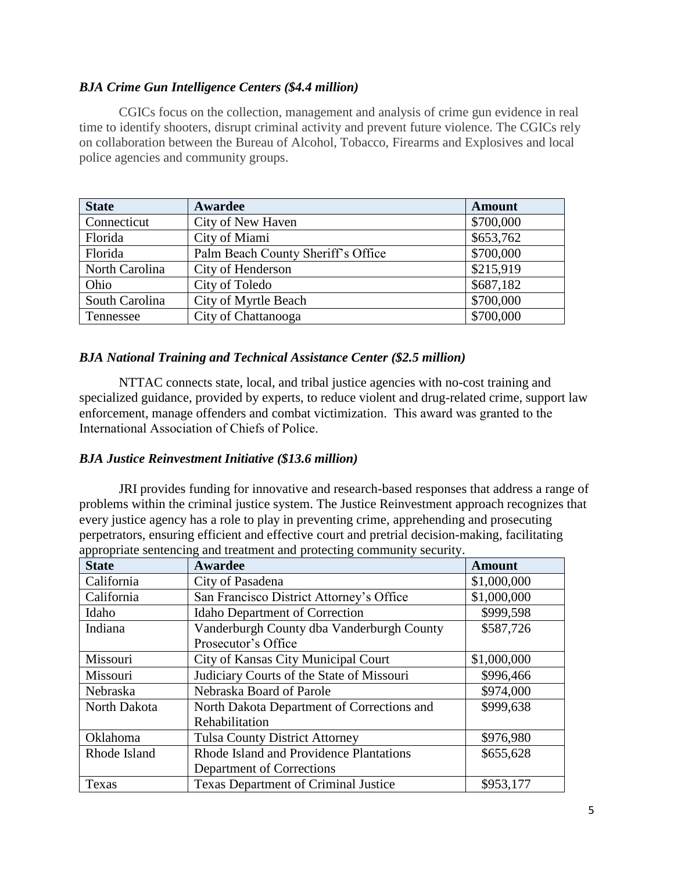# *BJA Crime Gun Intelligence Centers (\$4.4 million)*

CGICs focus on the collection, management and analysis of crime gun evidence in real time to identify shooters, disrupt criminal activity and prevent future violence. The CGICs rely on collaboration between the Bureau of Alcohol, Tobacco, Firearms and Explosives and local police agencies and community groups.

| <b>State</b>   | Awardee                            | <b>Amount</b> |
|----------------|------------------------------------|---------------|
| Connecticut    | City of New Haven                  | \$700,000     |
| Florida        | City of Miami                      | \$653,762     |
| Florida        | Palm Beach County Sheriff's Office | \$700,000     |
| North Carolina | City of Henderson                  | \$215,919     |
| Ohio           | City of Toledo                     | \$687,182     |
| South Carolina | City of Myrtle Beach               | \$700,000     |
| Tennessee      | City of Chattanooga                | \$700,000     |

#### *BJA National Training and Technical Assistance Center (\$2.5 million)*

NTTAC connects state, local, and tribal justice agencies with no-cost training and specialized guidance, provided by experts, to reduce violent and drug-related crime, support law enforcement, manage offenders and combat victimization. This award was granted to the International Association of Chiefs of Police.

#### *BJA Justice Reinvestment Initiative (\$13.6 million)*

JRI provides funding for innovative and research-based responses that address a range of problems within the criminal justice system. The Justice Reinvestment approach recognizes that every justice agency has a role to play in preventing crime, apprehending and prosecuting perpetrators, ensuring efficient and effective court and pretrial decision-making, facilitating appropriate sentencing and treatment and protecting community security.

| <b>State</b> | Awardee                                     | <b>Amount</b> |
|--------------|---------------------------------------------|---------------|
| California   | City of Pasadena                            | \$1,000,000   |
| California   | San Francisco District Attorney's Office    | \$1,000,000   |
| Idaho        | <b>Idaho Department of Correction</b>       | \$999,598     |
| Indiana      | Vanderburgh County dba Vanderburgh County   | \$587,726     |
|              | Prosecutor's Office                         |               |
| Missouri     | City of Kansas City Municipal Court         | \$1,000,000   |
| Missouri     | Judiciary Courts of the State of Missouri   | \$996,466     |
| Nebraska     | Nebraska Board of Parole                    | \$974,000     |
| North Dakota | North Dakota Department of Corrections and  | \$999,638     |
|              | Rehabilitation                              |               |
| Oklahoma     | <b>Tulsa County District Attorney</b>       | \$976,980     |
| Rhode Island | Rhode Island and Providence Plantations     | \$655,628     |
|              | Department of Corrections                   |               |
| Texas        | <b>Texas Department of Criminal Justice</b> | \$953,177     |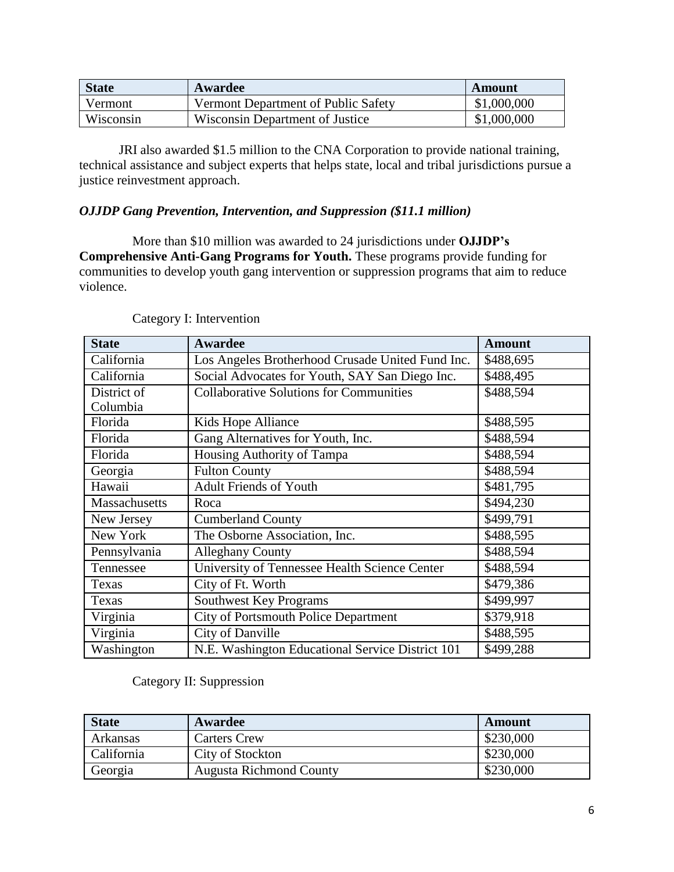| <b>State</b> | <b>Awardee</b>                      | Amount      |
|--------------|-------------------------------------|-------------|
| Vermont      | Vermont Department of Public Safety | \$1,000,000 |
| Wisconsin    | Wisconsin Department of Justice     | \$1,000,000 |

JRI also awarded \$1.5 million to the CNA Corporation to provide national training, technical assistance and subject experts that helps state, local and tribal jurisdictions pursue a justice reinvestment approach.

# *OJJDP Gang Prevention, Intervention, and Suppression (\$11.1 million)*

More than \$10 million was awarded to 24 jurisdictions under **OJJDP's Comprehensive Anti-Gang Programs for Youth.** These programs provide funding for communities to develop youth gang intervention or suppression programs that aim to reduce violence.

| <b>State</b>  | <b>Awardee</b>                                   | <b>Amount</b> |
|---------------|--------------------------------------------------|---------------|
| California    | Los Angeles Brotherhood Crusade United Fund Inc. | \$488,695     |
| California    | Social Advocates for Youth, SAY San Diego Inc.   | \$488,495     |
| District of   | <b>Collaborative Solutions for Communities</b>   | \$488,594     |
| Columbia      |                                                  |               |
| Florida       | Kids Hope Alliance                               | \$488,595     |
| Florida       | Gang Alternatives for Youth, Inc.                | \$488,594     |
| Florida       | Housing Authority of Tampa                       | \$488,594     |
| Georgia       | <b>Fulton County</b>                             | \$488,594     |
| Hawaii        | <b>Adult Friends of Youth</b>                    | \$481,795     |
| Massachusetts | Roca                                             | \$494,230     |
| New Jersey    | <b>Cumberland County</b>                         | \$499,791     |
| New York      | The Osborne Association, Inc.                    | \$488,595     |
| Pennsylvania  | <b>Alleghany County</b>                          | \$488,594     |
| Tennessee     | University of Tennessee Health Science Center    | \$488,594     |
| Texas         | City of Ft. Worth                                | \$479,386     |
| Texas         | <b>Southwest Key Programs</b>                    | \$499,997     |
| Virginia      | <b>City of Portsmouth Police Department</b>      | \$379,918     |
| Virginia      | <b>City of Danville</b>                          | \$488,595     |
| Washington    | N.E. Washington Educational Service District 101 | \$499,288     |

# Category I: Intervention

#### Category II: Suppression

| <b>State</b> | Awardee                        | Amount    |
|--------------|--------------------------------|-----------|
| Arkansas     | <b>Carters Crew</b>            | \$230,000 |
| California   | City of Stockton               | \$230,000 |
| Georgia      | <b>Augusta Richmond County</b> | \$230,000 |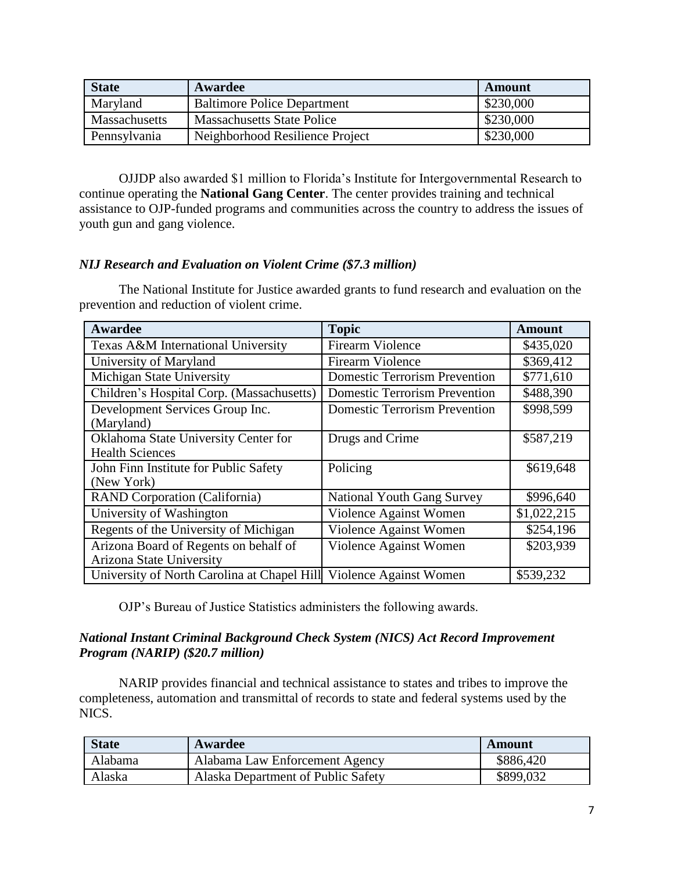| <b>State</b>         | Awardee                            | <b>Amount</b> |
|----------------------|------------------------------------|---------------|
| Maryland             | <b>Baltimore Police Department</b> | \$230,000     |
| <b>Massachusetts</b> | <b>Massachusetts State Police</b>  | \$230,000     |
| Pennsylvania         | Neighborhood Resilience Project    | \$230,000     |

OJJDP also awarded \$1 million to Florida's Institute for Intergovernmental Research to continue operating the **National Gang Center**. The center provides training and technical assistance to OJP-funded programs and communities across the country to address the issues of youth gun and gang violence.

# *NIJ Research and Evaluation on Violent Crime (\$7.3 million)*

The National Institute for Justice awarded grants to fund research and evaluation on the prevention and reduction of violent crime.

| <b>Awardee</b>                                                    | <b>Topic</b>                         | <b>Amount</b> |
|-------------------------------------------------------------------|--------------------------------------|---------------|
| Texas A&M International University                                | <b>Firearm Violence</b>              | \$435,020     |
| University of Maryland                                            | <b>Firearm Violence</b>              | \$369,412     |
| Michigan State University                                         | <b>Domestic Terrorism Prevention</b> | \$771,610     |
| Children's Hospital Corp. (Massachusetts)                         | <b>Domestic Terrorism Prevention</b> | \$488,390     |
| Development Services Group Inc.<br>(Maryland)                     | <b>Domestic Terrorism Prevention</b> | \$998,599     |
| Oklahoma State University Center for<br><b>Health Sciences</b>    | Drugs and Crime                      | \$587,219     |
| John Finn Institute for Public Safety<br>(New York)               | Policing                             | \$619,648     |
| <b>RAND Corporation (California)</b>                              | <b>National Youth Gang Survey</b>    | \$996,640     |
| University of Washington                                          | Violence Against Women               | \$1,022,215   |
| Regents of the University of Michigan                             | Violence Against Women               | \$254,196     |
| Arizona Board of Regents on behalf of<br>Arizona State University | Violence Against Women               | \$203,939     |
| University of North Carolina at Chapel Hill                       | Violence Against Women               | \$539,232     |

OJP's Bureau of Justice Statistics administers the following awards.

#### *National Instant Criminal Background Check System (NICS) Act Record Improvement Program (NARIP) (\$20.7 million)*

NARIP provides financial and technical assistance to states and tribes to improve the completeness, automation and transmittal of records to state and federal systems used by the NICS.

| <b>State</b> | Awardee                            | Amount    |
|--------------|------------------------------------|-----------|
| Alabama      | Alabama Law Enforcement Agency     | \$886,420 |
| Alaska       | Alaska Department of Public Safety | \$899,032 |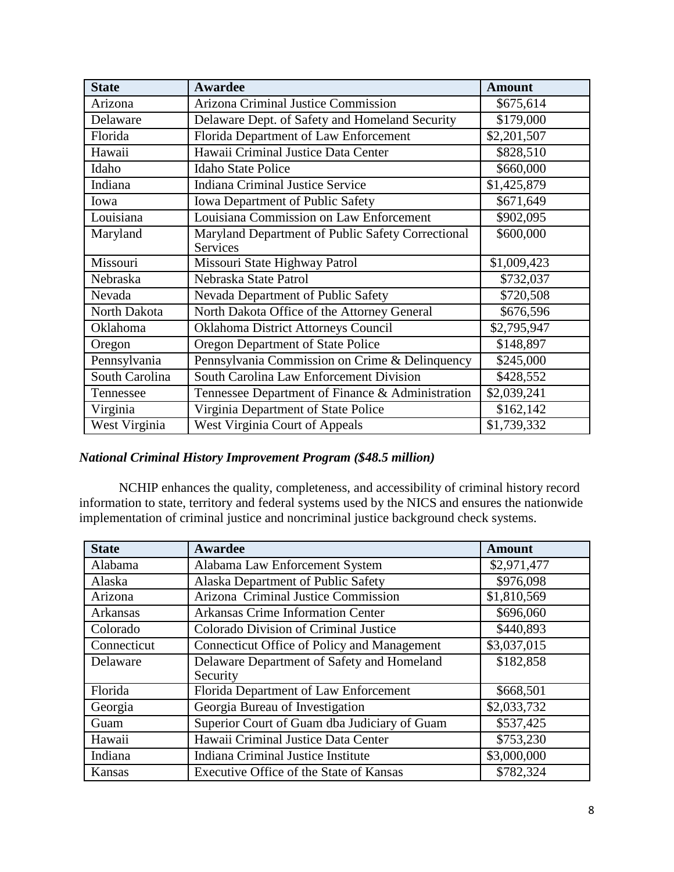| <b>State</b>   | <b>Awardee</b>                                    | <b>Amount</b> |
|----------------|---------------------------------------------------|---------------|
| Arizona        | <b>Arizona Criminal Justice Commission</b>        | \$675,614     |
| Delaware       | Delaware Dept. of Safety and Homeland Security    | \$179,000     |
| Florida        | Florida Department of Law Enforcement             | \$2,201,507   |
| Hawaii         | Hawaii Criminal Justice Data Center               | \$828,510     |
| Idaho          | <b>Idaho State Police</b>                         | \$660,000     |
| Indiana        | <b>Indiana Criminal Justice Service</b>           | \$1,425,879   |
| Iowa           | <b>Iowa Department of Public Safety</b>           | \$671,649     |
| Louisiana      | Louisiana Commission on Law Enforcement           | \$902,095     |
| Maryland       | Maryland Department of Public Safety Correctional | \$600,000     |
|                | <b>Services</b>                                   |               |
| Missouri       | Missouri State Highway Patrol                     | \$1,009,423   |
| Nebraska       | Nebraska State Patrol                             | \$732,037     |
| Nevada         | Nevada Department of Public Safety                | \$720,508     |
| North Dakota   | North Dakota Office of the Attorney General       | \$676,596     |
| Oklahoma       | Oklahoma District Attorneys Council               | \$2,795,947   |
| Oregon         | Oregon Department of State Police                 | \$148,897     |
| Pennsylvania   | Pennsylvania Commission on Crime & Delinquency    | \$245,000     |
| South Carolina | South Carolina Law Enforcement Division           | \$428,552     |
| Tennessee      | Tennessee Department of Finance & Administration  | \$2,039,241   |
| Virginia       | Virginia Department of State Police               | \$162,142     |
| West Virginia  | <b>West Virginia Court of Appeals</b>             | \$1,739,332   |

# *National Criminal History Improvement Program (\$48.5 million)*

NCHIP enhances the quality, completeness, and accessibility of criminal history record information to state, territory and federal systems used by the NICS and ensures the nationwide implementation of criminal justice and noncriminal justice background check systems.

| <b>State</b> | Awardee                                                | <b>Amount</b> |
|--------------|--------------------------------------------------------|---------------|
| Alabama      | Alabama Law Enforcement System                         | \$2,971,477   |
| Alaska       | Alaska Department of Public Safety                     | \$976,098     |
| Arizona      | Arizona Criminal Justice Commission                    | \$1,810,569   |
| Arkansas     | <b>Arkansas Crime Information Center</b>               | \$696,060     |
| Colorado     | Colorado Division of Criminal Justice                  | \$440,893     |
| Connecticut  | Connecticut Office of Policy and Management            | \$3,037,015   |
| Delaware     | Delaware Department of Safety and Homeland<br>Security | \$182,858     |
| Florida      | Florida Department of Law Enforcement                  | \$668,501     |
| Georgia      | Georgia Bureau of Investigation                        | \$2,033,732   |
| Guam         | Superior Court of Guam dba Judiciary of Guam           | \$537,425     |
| Hawaii       | Hawaii Criminal Justice Data Center                    | \$753,230     |
| Indiana      | Indiana Criminal Justice Institute                     | \$3,000,000   |
| Kansas       | Executive Office of the State of Kansas                | \$782,324     |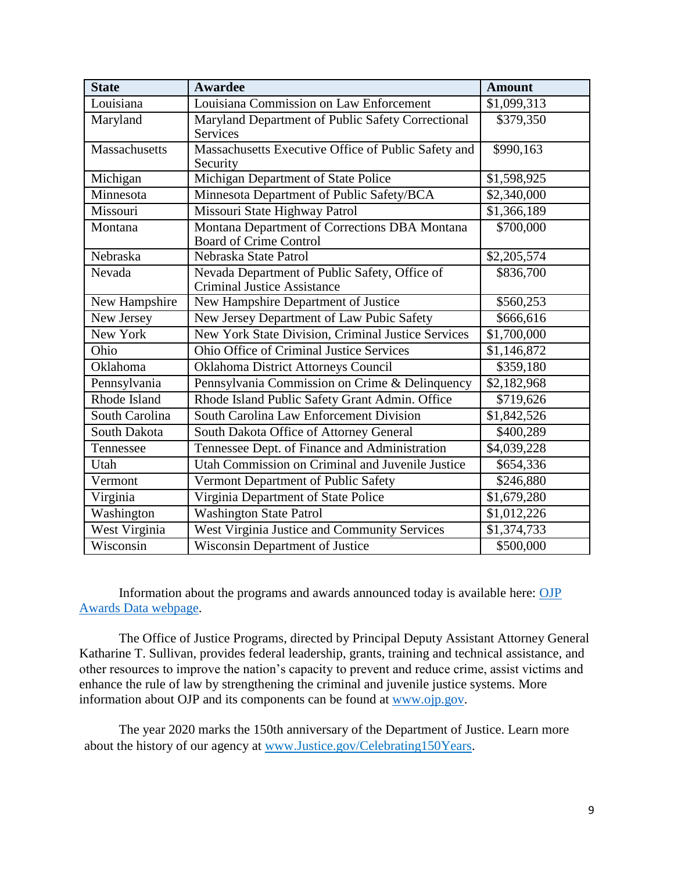| <b>State</b>   | <b>Awardee</b>                                                                      | <b>Amount</b> |
|----------------|-------------------------------------------------------------------------------------|---------------|
| Louisiana      | Louisiana Commission on Law Enforcement                                             | \$1,099,313   |
| Maryland       | Maryland Department of Public Safety Correctional<br><b>Services</b>                | \$379,350     |
| Massachusetts  | Massachusetts Executive Office of Public Safety and<br>Security                     | \$990,163     |
| Michigan       | Michigan Department of State Police                                                 | \$1,598,925   |
| Minnesota      | Minnesota Department of Public Safety/BCA                                           | \$2,340,000   |
| Missouri       | Missouri State Highway Patrol                                                       | \$1,366,189   |
| Montana        | Montana Department of Corrections DBA Montana<br><b>Board of Crime Control</b>      | \$700,000     |
| Nebraska       | Nebraska State Patrol                                                               | \$2,205,574   |
| Nevada         | Nevada Department of Public Safety, Office of<br><b>Criminal Justice Assistance</b> | \$836,700     |
| New Hampshire  | New Hampshire Department of Justice                                                 | \$560,253     |
| New Jersey     | New Jersey Department of Law Pubic Safety                                           | \$666,616     |
| New York       | New York State Division, Criminal Justice Services                                  | \$1,700,000   |
| Ohio           | Ohio Office of Criminal Justice Services                                            | \$1,146,872   |
| Oklahoma       | Oklahoma District Attorneys Council                                                 | \$359,180     |
| Pennsylvania   | Pennsylvania Commission on Crime & Delinquency                                      | \$2,182,968   |
| Rhode Island   | Rhode Island Public Safety Grant Admin. Office                                      | \$719,626     |
| South Carolina | South Carolina Law Enforcement Division                                             | \$1,842,526   |
| South Dakota   | South Dakota Office of Attorney General                                             | \$400,289     |
| Tennessee      | Tennessee Dept. of Finance and Administration                                       | \$4,039,228   |
| Utah           | Utah Commission on Criminal and Juvenile Justice                                    | \$654,336     |
| Vermont        | Vermont Department of Public Safety                                                 | \$246,880     |
| Virginia       | Virginia Department of State Police                                                 | \$1,679,280   |
| Washington     | <b>Washington State Patrol</b>                                                      | \$1,012,226   |
| West Virginia  | West Virginia Justice and Community Services                                        | \$1,374,733   |
| Wisconsin      | <b>Wisconsin Department of Justice</b>                                              | \$500,000     |

Information about the programs and awards announced today is available here: [OJP](https://ojp.gov/funding/Explore/OJPAwardData.htm)  [Awards Data webpage.](https://ojp.gov/funding/Explore/OJPAwardData.htm)

The Office of Justice Programs, directed by Principal Deputy Assistant Attorney General Katharine T. Sullivan, provides federal leadership, grants, training and technical assistance, and other resources to improve the nation's capacity to prevent and reduce crime, assist victims and enhance the rule of law by strengthening the criminal and juvenile justice systems. More information about OJP and its components can be found at [www.ojp.gov.](http://www.ojp.gov/)

The year 2020 marks the 150th anniversary of the Department of Justice. Learn more about the history of our agency at [www.Justice.gov/Celebrating150Years.](https://lnks.gd/l/eyJhbGciOiJIUzI1NiJ9.eyJidWxsZXRpbl9saW5rX2lkIjoxMDIsInVyaSI6ImJwMjpjbGljayIsImJ1bGxldGluX2lkIjoiMjAyMDAxMTAuMTUzMTE2NzEiLCJ1cmwiOiJodHRwczovL3d3dy5qdXN0aWNlLmdvdi9DZWxlYnJhdGluZzE1MFllYXJzP3V0bV9tZWRpdW09ZW1haWwmdXRtX3NvdXJjZT1nb3ZkZWxpdmVyeSJ9.IvArV6n-E_Ac4bB-rJAkAH2yNKX0pYUQuZkqN7WrXyc/br/73863876974-l)